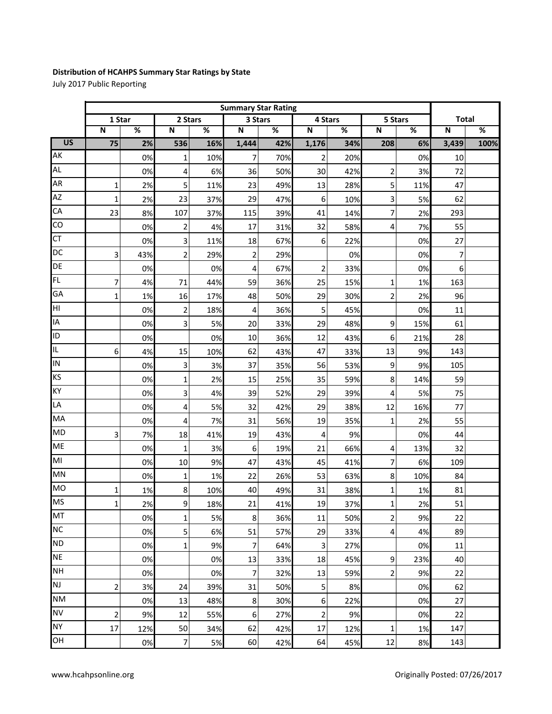## **Distribution of HCAHPS Summary Star Ratings by State**

July 2017 Public Reporting

|                 | <b>Summary Star Rating</b> |     |                         |     |                         |                          |                         |     |                         |     |                         |      |
|-----------------|----------------------------|-----|-------------------------|-----|-------------------------|--------------------------|-------------------------|-----|-------------------------|-----|-------------------------|------|
|                 | 1 Star                     |     | 2 Stars                 |     | 3 Stars                 |                          | 4 Stars                 |     | 5 Stars                 |     | <b>Total</b>            |      |
|                 | $\overline{\mathsf{N}}$    | %   | $\overline{\mathsf{N}}$ | %   | $\overline{\mathsf{N}}$ | $\overline{\mathscr{C}}$ | $\overline{\mathsf{N}}$ | %   | $\overline{\mathsf{N}}$ | %   | $\overline{\mathsf{N}}$ | $\%$ |
| $\overline{US}$ | $\overline{75}$            | 2%  | 536                     | 16% | 1,444                   | 42%                      | 1,176                   | 34% | 208                     | 6%  | 3,439                   | 100% |
| AK              |                            | 0%  | $\mathbf 1$             | 10% | 7                       | 70%                      | $\overline{2}$          | 20% |                         | 0%  | 10                      |      |
| <b>AL</b>       |                            | 0%  | 4                       | 6%  | 36                      | 50%                      | 30                      | 42% | $\overline{\mathbf{c}}$ | 3%  | 72                      |      |
| <b>AR</b>       | $\mathbf{1}$               | 2%  | 5                       | 11% | 23                      | 49%                      | 13                      | 28% | 5                       | 11% | 47                      |      |
| <b>AZ</b>       | 1                          | 2%  | 23                      | 37% | 29                      | 47%                      | 6                       | 10% | 3                       | 5%  | 62                      |      |
| CA              | 23                         | 8%  | 107                     | 37% | 115                     | 39%                      | 41                      | 14% | 7                       | 2%  | 293                     |      |
| $\overline{c}$  |                            | 0%  | $\overline{\mathbf{c}}$ | 4%  | 17                      | 31%                      | 32                      | 58% | 4                       | 7%  | 55                      |      |
| <b>CT</b>       |                            | 0%  | 3                       | 11% | 18                      | 67%                      | 6                       | 22% |                         | 0%  | 27                      |      |
| DC              | 3                          | 43% | $\overline{2}$          | 29% | $\overline{2}$          | 29%                      |                         | 0%  |                         | 0%  | 7                       |      |
| DE              |                            | 0%  |                         | 0%  | 4                       | 67%                      | $\overline{2}$          | 33% |                         | 0%  | 6                       |      |
| FL.             | 7                          | 4%  | 71                      | 44% | 59                      | 36%                      | 25                      | 15% | 1                       | 1%  | 163                     |      |
| GA              | 1                          | 1%  | 16                      | 17% | 48                      | 50%                      | 29                      | 30% | $\overline{c}$          | 2%  | 96                      |      |
| НI              |                            | 0%  | $\overline{\mathbf{c}}$ | 18% | 4                       | 36%                      | 5                       | 45% |                         | 0%  | 11                      |      |
| IA              |                            | 0%  | 3                       | 5%  | 20                      | 33%                      | 29                      | 48% | 9                       | 15% | 61                      |      |
| ID              |                            | 0%  |                         | 0%  | 10                      | 36%                      | 12                      | 43% | 6                       | 21% | 28                      |      |
| IL              | 6                          | 4%  | 15                      | 10% | 62                      | 43%                      | 47                      | 33% | 13                      | 9%  | 143                     |      |
| IN              |                            | 0%  | 3                       | 3%  | 37                      | 35%                      | 56                      | 53% | $\boldsymbol{9}$        | 9%  | 105                     |      |
| KS              |                            | 0%  | 1                       | 2%  | 15                      | 25%                      | 35                      | 59% | 8                       | 14% | 59                      |      |
| KY              |                            | 0%  | 3                       | 4%  | 39                      | 52%                      | 29                      | 39% | 4                       | 5%  | 75                      |      |
| LA              |                            | 0%  | 4                       | 5%  | 32                      | 42%                      | 29                      | 38% | 12                      | 16% | 77                      |      |
| MA              |                            | 0%  | 4                       | 7%  | 31                      | 56%                      | 19                      | 35% | $\mathbf{1}$            | 2%  | 55                      |      |
| <b>MD</b>       | 3                          | 7%  | 18                      | 41% | 19                      | 43%                      | $\overline{4}$          | 9%  |                         | 0%  | 44                      |      |
| <b>ME</b>       |                            | 0%  | $\mathbf{1}$            | 3%  | $\boldsymbol{6}$        | 19%                      | 21                      | 66% | 4                       | 13% | 32                      |      |
| MI              |                            | 0%  | 10                      | 9%  | 47                      | 43%                      | 45                      | 41% | 7                       | 6%  | 109                     |      |
| MN              |                            | 0%  | $\mathbf 1$             | 1%  | 22                      | 26%                      | 53                      | 63% | 8                       | 10% | 84                      |      |
| <b>MO</b>       | 1                          | 1%  | 8                       | 10% | 40                      | 49%                      | 31                      | 38% | 1                       | 1%  | 81                      |      |
| <b>MS</b>       | 1                          | 2%  | $\overline{9}$          | 18% | 21                      | 41%                      | 19                      | 37% | $\mathbf 1$             | 2%  | 51                      |      |
| MT              |                            | 0%  | 1                       | 5%  | 8                       | 36%                      | 11                      | 50% | $\overline{2}$          | 9%  | 22                      |      |
| <b>NC</b>       |                            | 0%  | 5                       | 6%  | 51                      | 57%                      | 29                      | 33% | $\overline{a}$          | 4%  | 89                      |      |
| <b>ND</b>       |                            | 0%  | 1                       | 9%  | 7                       | 64%                      | 3                       | 27% |                         | 0%  | 11                      |      |
| <b>NE</b>       |                            | 0%  |                         | 0%  | 13                      | 33%                      | 18                      | 45% | 9                       | 23% | 40                      |      |
| <b>NH</b>       |                            | 0%  |                         | 0%  | $\overline{7}$          | 32%                      | 13                      | 59% | $\overline{2}$          | 9%  | 22                      |      |
| <b>NJ</b>       | $\overline{\mathbf{c}}$    | 3%  | 24                      | 39% | 31                      | 50%                      | 5                       | 8%  |                         | 0%  | 62                      |      |
| <b>NM</b>       |                            | 0%  | 13                      | 48% | 8                       | 30%                      | 6                       | 22% |                         | 0%  | 27                      |      |
| <b>NV</b>       | 2                          | 9%  | 12                      | 55% | 6                       | 27%                      | $\mathbf 2$             | 9%  |                         | 0%  | 22                      |      |
| <b>NY</b>       | 17                         | 12% | 50                      | 34% | 62                      | 42%                      | 17                      | 12% | 1                       | 1%  | 147                     |      |
| OH              |                            | 0%  | 7                       | 5%  | 60                      | 42%                      | 64                      | 45% | 12                      | 8%  | 143                     |      |